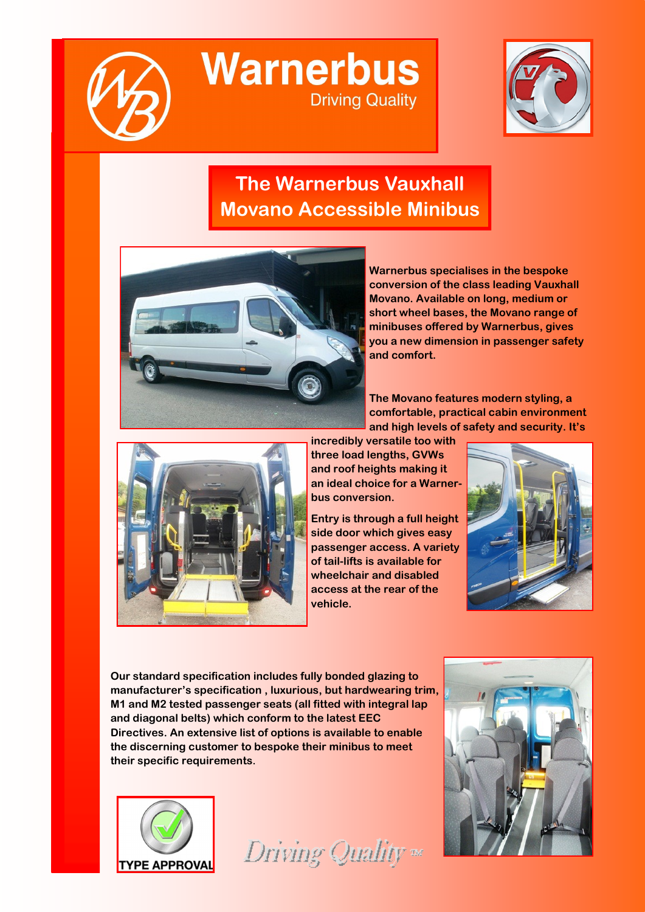

**Warnerbus Driving Quality** 



## **The Warnerbus Vauxhall Movano Accessible Minibus**



**Warnerbus specialises in the bespoke conversion of the class leading Vauxhall Movano. Available on long, medium or short wheel bases, the Movano range of minibuses offered by Warnerbus, gives you a new dimension in passenger safety and comfort.** 

**The Movano features modern styling, a comfortable, practical cabin environment and high levels of safety and security. It's** 



**incredibly versatile too with three load lengths, GVWs and roof heights making it an ideal choice for a Warnerbus conversion.**

**Entry is through a full height side door which gives easy passenger access. A variety of tail-lifts is available for wheelchair and disabled access at the rear of the vehicle.** 



**Our standard specification includes fully bonded glazing to manufacturer's specification , luxurious, but hardwearing trim, M1 and M2 tested passenger seats (all fitted with integral lap and diagonal belts) which conform to the latest EEC Directives. An extensive list of options is available to enable the discerning customer to bespoke their minibus to meet their specific requirements.**



Driving Quality =